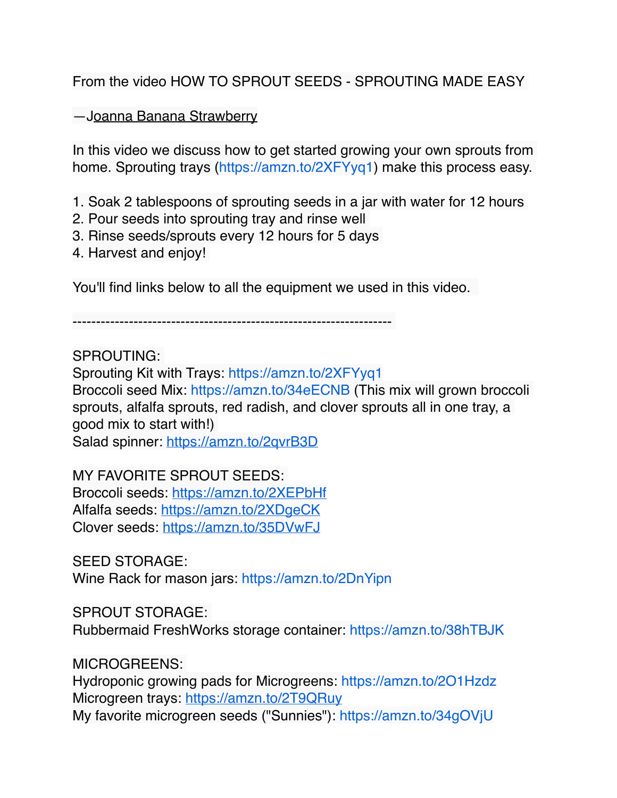From the video HOW TO SPROUT SEEDS - SPROUTING MADE EASY

—J[oanna Banana Strawberry](https://www.youtube.com/channel/UCVky6Oy94Dl1sPrh5YyG8kw)

In this video we discuss how to get started growing your own sprouts from home. Sprouting trays ([https://amzn.to/2XFYyq1\)](https://www.youtube.com/redirect?event=video_description&redir_token=QUFFLUhqa0FkZmlFcVZVamlONG9MR3pDRWpzbmNSWEZ0QXxBQ3Jtc0tsQWY5ZFFWS1g1eU1WZllfSjhQQ3RieFdfaVk1MFFxY0JsMGctRk83eHA3dzBfSmJ4Znk2SmxqcC16TUV4Yy1ybG9ETHRrUE4yZ1Zla0RrUUlFSmRJdFZPSTVrSjdQWWVjem4xb1lraS1UNzZZdlM1bw&q=https%3A%2F%2Famzn.to%2F2XFYyq1) make this process easy.

- 1. Soak 2 tablespoons of sprouting seeds in a jar with water for 12 hours
- 2. Pour seeds into sprouting tray and rinse well
- 3. Rinse seeds/sprouts every 12 hours for 5 days
- 4. Harvest and enjoy!

You'll find links below to all the equipment we used in this video.

--------------------------------------------------------------------

## SPROUTING:

Sprouting Kit with Trays: [https://amzn.to/2XFYyq1](https://www.youtube.com/redirect?event=video_description&redir_token=QUFFLUhqbUViOEJiZGNsMUVXdE4weFhhcEtBZjZoYzRqUXxBQ3Jtc0tuMHk5YUdxRFlYcDN6SjhRdmprTGRjQTRzbTd0YUZxTGRablk3aktDX3J6eVp0WlJCQWhzS01NcWtRYjF4MThGTHJWVFZWMnZvSVFnVjB0U3RJSGpCNHJsRjNBbG44NlVMV2hram1sSGtQel9zc1FQVQ&q=https%3A%2F%2Famzn.to%2F2XFYyq1) Broccoli seed Mix: [https://amzn.to/34eECNB](https://www.youtube.com/redirect?event=video_description&redir_token=QUFFLUhqbHhvVVJVLXprczl6XzE1bU5FOTlzdE1FNXg3d3xBQ3Jtc0trTFlfYWg3d21Gb1ZfZGprTlpNM1RCb2F4MTBYLWhvQnYyWDY0QWVSTi15bkZ2NkdHaW1RU0lVZlJjWUxmM0dHTFlOajYybWlUU0JGWFZBRjR1SVItYVlmeWZmVGd3Vl9RRG1RZmREZmtDazJNMWVtVQ&q=https%3A%2F%2Famzn.to%2F34eECNB) (This mix will grown broccoli sprouts, alfalfa sprouts, red radish, and clover sprouts all in one tray, a good mix to start with!) Salad spinner: [https://amzn.to/2qvrB3D](https://www.youtube.com/redirect?event=video_description&redir_token=QUFFLUhqbWVMN0oxbGlWcDZlRVdSS0lyVTRYMFR6X0hGUXxBQ3Jtc0tsMTBqTW1NeUlsT2NBVDBpclVlNDA3T0RLVGdmaUtiSXRfZm5Ka3BRaGI1RVU0RDdBak1kZnY2Wnk3d0xOOFZVLWdYQlBWN2E1Znh1NUlVRHdSYy03dm9TLU82Vmc4cnVudnFYREhTdkZmRXQtZFU3MA&q=https%3A%2F%2Famzn.to%2F2qvrB3D)

MY FAVORITE SPROUT SEEDS: Broccoli seeds: [https://amzn.to/2XEPbHf](https://www.youtube.com/redirect?event=video_description&redir_token=QUFFLUhqbVI0UDEyWXhlTFoxTVoxSjIxcGM4VjNTQ1NYQXxBQ3Jtc0trVUE0TlAtNnhaTEh1ME12UlRBck1zc05JYlltTnBBUUFnYmcybWRxYlJqOXprcHBZOGZPcFdiMF9WY29XdHFpc29UNko0cmNRSE44Zk1XRnotRXowVExCdXZocXpFaDZLNVlEaHZqcVpiNmUtRkM1SQ&q=https%3A%2F%2Famzn.to%2F2XEPbHf) Alfalfa seeds: [https://amzn.to/2XDgeCK](https://www.youtube.com/redirect?event=video_description&redir_token=QUFFLUhqbU5TNFRBOE96U1ZISExfSlNTVWhMRXRVbWNRUXxBQ3Jtc0tuaUgtQ2J0YzdlVGZ3UjQ2c2tITGdHSnF0MnBVRUJ1Z3pLeXhCRWNhSUFOT0hRVnZ3V3lNNGxIdExPeEdxejVaYnNKU0s1VXlFdnhTNWpLc3ZoWkN6Tm1kTTRWdnRiQjdjTmZHTVh1OURDQS1DZ19fMA&q=https%3A%2F%2Famzn.to%2F2XDgeCK) Clover seeds: [https://amzn.to/35DVwFJ](https://www.youtube.com/redirect?event=video_description&redir_token=QUFFLUhqbVd1MXhiWTFXWUxYZE1Bd0NhSTA1ck40NzdiUXxBQ3Jtc0tuamZBeEt1Q2g5SkJmQTctTl9MaUZWR2kzbUF6aWVINUZocXc5Nnk0amlIWDhLaWhRT0ZFbXd1WWVkNXFQS20tQ2dnWkpMVXZIeWNQbEhReHhiN1VvWGVFOXR3Y081NTFsVmZTRXRWX0tpc1JSSUpaTQ&q=https%3A%2F%2Famzn.to%2F35DVwFJ)

SEED STORAGE: Wine Rack for mason jars: [https://amzn.to/2DnYipn](https://www.youtube.com/redirect?event=video_description&redir_token=QUFFLUhqbk5FN2NlTGlTTS1YRDF4Y3BCek12NFJjQmc5d3xBQ3Jtc0trZFpzS2lVVzRqVE1VRXc0V2J6LVRpX21QT2ZuUXFROEtnal82NWZSdmlEbGFKQVB2WUxGVEFNbmZueGNmNVZYM1p0cVN1WTFKbXpPa0ZTeUJ0Z2dTRGFnY2d2UTl6WU4xWDdLZy10bzltbzlmU2FvSQ&q=https%3A%2F%2Famzn.to%2F2DnYipn)

SPROUT STORAGE: Rubbermaid FreshWorks storage container: [https://amzn.to/38hTBJK](https://www.youtube.com/redirect?event=video_description&redir_token=QUFFLUhqbFBmSDBYZno5Ny1ITHFaczRHMWkyeWR3SUYxQXxBQ3Jtc0tuUHkyVnZzc3hpUDRtc2hVX1ZvVm53Wkx1T2NSa2RyQjlNRVJJX1p5YXNSNWk2dVkxY2YtcHNzUjRqLVN6LW9uVnJrcGtWUDhlcmFOcnFSWHYtRUxPMk43aGNzNkkwNjBiNHhNTHZrclZLbllEQUdqcw&q=https%3A%2F%2Famzn.to%2F38hTBJK)

MICROGREENS:

Hydroponic growing pads for Microgreens: [https://amzn.to/2O1Hzdz](https://www.youtube.com/redirect?event=video_description&redir_token=QUFFLUhqbTFlVFBMdVpjRlluYUY3SVltYlMyMzlXM0Jyd3xBQ3Jtc0ttdWFpaEp2YlRLN2N2eGJ1ZE1SdC04c285WE8ycjZwMVM3c3hjczBDd2hhY0dhNW5ZTG94VHBQUEc4blU4Um5SU2ZMV2tJczhMQ3RzdXhGWWhnWEpWSE91NGRjcmZONjQxU2hvNmFpRG1aSUlKZ3ZUSQ&q=https%3A%2F%2Famzn.to%2F2O1Hzdz) Microgreen trays: [https://amzn.to/2T9QRuy](https://www.youtube.com/redirect?event=video_description&redir_token=QUFFLUhqa3NpRGFsOXV3eWwtTXhjTWxLbXMwSEJQdnV2UXxBQ3Jtc0tuRlU5QlF5Y3lzRmh0cmI2Ry1MdGdIS3FtVTF3WlBrdk9XWVE4V0laRW0xMmNXbzRkWG9KSXQ4RDJITUNaVFZ3T21sWmZwRmNvZngxaWtORjJoMFRMbDJwV3NTQ19JdlBJVkUwb09HenQtVjNBZ3l1NA&q=https%3A%2F%2Famzn.to%2F2T9QRuy)

My favorite microgreen seeds ("Sunnies"): [https://amzn.to/34gOVjU](https://www.youtube.com/redirect?event=video_description&redir_token=QUFFLUhqbVl4eFppdDJUYk1NU0NDeUVwUzd3clFzZjRYQXxBQ3Jtc0tsOGc4Q2F2M1RzUmFnRllxZ29mX0pJdm1JTkZuRnJibU4ydl9ZSHpySzJ3UHhMMHdDeE1QSm5TNUdWSWh3SWxxaW5aZUdmMXZVNFFrTGRiT3lNUjdUTl9Ub1RtUHpsUXpWcHFCWGtXSUJxZkdaSkdmdw&q=https%3A%2F%2Famzn.to%2F34gOVjU)